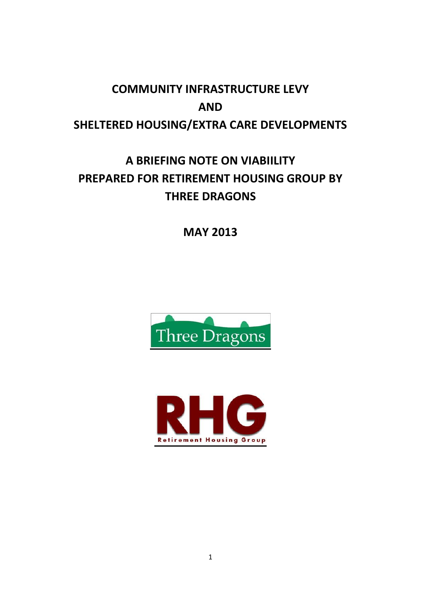# **COMMUNITY INFRASTRUCTURE LEVY AND SHELTERED HOUSING/EXTRA CARE DEVELOPMENTS**

# **A BRIEFING NOTE ON VIABIILITY PREPARED FOR RETIREMENT HOUSING GROUP BY THREE DRAGONS**

**MAY 2013**



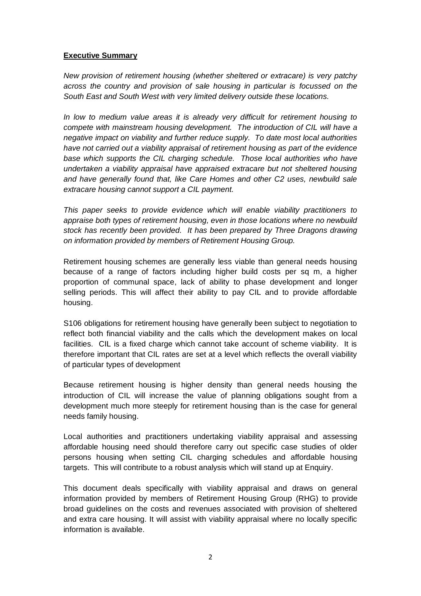#### **Executive Summary**

*New provision of retirement housing (whether sheltered or extracare) is very patchy across the country and provision of sale housing in particular is focussed on the South East and South West with very limited delivery outside these locations.* 

*In low to medium value areas it is already very difficult for retirement housing to compete with mainstream housing development. The introduction of CIL will have a negative impact on viability and further reduce supply. To date most local authorities have not carried out a viability appraisal of retirement housing as part of the evidence base which supports the CIL charging schedule. Those local authorities who have undertaken a viability appraisal have appraised extracare but not sheltered housing and have generally found that, like Care Homes and other C2 uses, newbuild sale extracare housing cannot support a CIL payment.*

*This paper seeks to provide evidence which will enable viability practitioners to appraise both types of retirement housing, even in those locations where no newbuild stock has recently been provided. It has been prepared by Three Dragons drawing on information provided by members of Retirement Housing Group.*

Retirement housing schemes are generally less viable than general needs housing because of a range of factors including higher build costs per sq m, a higher proportion of communal space, lack of ability to phase development and longer selling periods. This will affect their ability to pay CIL and to provide affordable housing.

S106 obligations for retirement housing have generally been subject to negotiation to reflect both financial viability and the calls which the development makes on local facilities. CIL is a fixed charge which cannot take account of scheme viability. It is therefore important that CIL rates are set at a level which reflects the overall viability of particular types of development

Because retirement housing is higher density than general needs housing the introduction of CIL will increase the value of planning obligations sought from a development much more steeply for retirement housing than is the case for general needs family housing.

Local authorities and practitioners undertaking viability appraisal and assessing affordable housing need should therefore carry out specific case studies of older persons housing when setting CIL charging schedules and affordable housing targets. This will contribute to a robust analysis which will stand up at Enquiry.

This document deals specifically with viability appraisal and draws on general information provided by members of Retirement Housing Group (RHG) to provide broad guidelines on the costs and revenues associated with provision of sheltered and extra care housing. It will assist with viability appraisal where no locally specific information is available.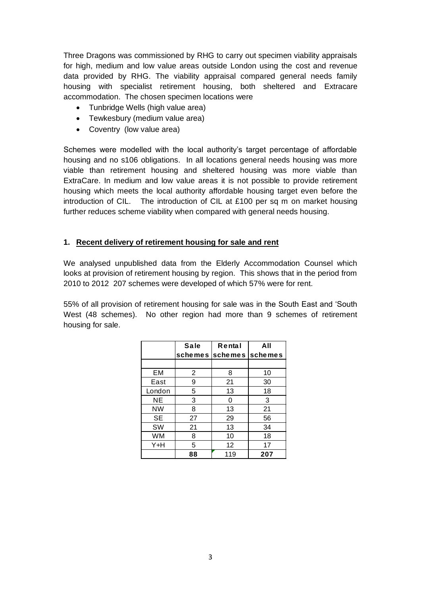Three Dragons was commissioned by RHG to carry out specimen viability appraisals for high, medium and low value areas outside London using the cost and revenue data provided by RHG. The viability appraisal compared general needs family housing with specialist retirement housing, both sheltered and Extracare accommodation. The chosen specimen locations were

- Tunbridge Wells (high value area)
- Tewkesbury (medium value area)
- Coventry (low value area)

Schemes were modelled with the local authority's target percentage of affordable housing and no s106 obligations. In all locations general needs housing was more viable than retirement housing and sheltered housing was more viable than ExtraCare. In medium and low value areas it is not possible to provide retirement housing which meets the local authority affordable housing target even before the introduction of CIL. The introduction of CIL at £100 per sq m on market housing further reduces scheme viability when compared with general needs housing.

#### **1. Recent delivery of retirement housing for sale and rent**

We analysed unpublished data from the Elderly Accommodation Counsel which looks at provision of retirement housing by region. This shows that in the period from 2010 to 2012 207 schemes were developed of which 57% were for rent.

55% of all provision of retirement housing for sale was in the South East and 'South West (48 schemes). No other region had more than 9 schemes of retirement housing for sale.

|           | <b>Sale</b> | Rental          | All     |
|-----------|-------------|-----------------|---------|
|           | schemes     | <b>lschemes</b> | schemes |
|           |             |                 |         |
| EM        | 2           | 8               | 10      |
| East      | 9           | 21              | 30      |
| London    | 5           | 13              | 18      |
| NΕ        | 3           | 0               | 3       |
| NW        | 8           | 13              | 21      |
| <b>SE</b> | 27          | 29              | 56      |
| SW        | 21          | 13              | 34      |
| WM        | 8           | 10              | 18      |
| Y+H       | 5           | 12              | 17      |
|           | 88          | 119             | 207     |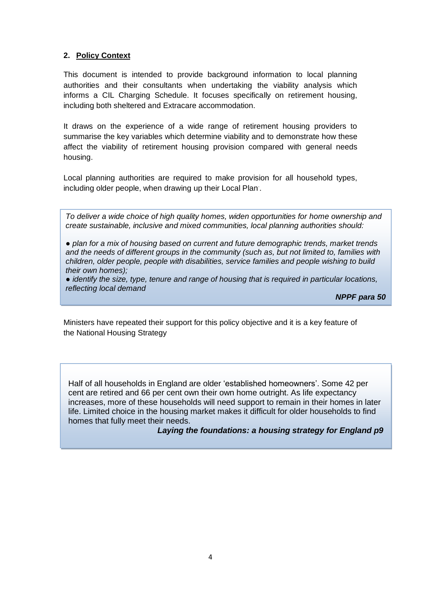### **2. Policy Context**

This document is intended to provide background information to local planning authorities and their consultants when undertaking the viability analysis which informs a CIL Charging Schedule. It focuses specifically on retirement housing, including both sheltered and Extracare accommodation.

It draws on the experience of a wide range of retirement housing providers to summarise the key variables which determine viability and to demonstrate how these affect the viability of retirement housing provision compared with general needs housing.

Local planning authorities are required to make provision for all household types, including older people, when drawing up their Local Plan. .

*To deliver a wide choice of high quality homes, widen opportunities for home ownership and create sustainable, inclusive and mixed communities, local planning authorities should:*

*● plan for a mix of housing based on current and future demographic trends, market trends and the needs of different groups in the community (such as, but not limited to, families with children, older people, people with disabilities, service families and people wishing to build their own homes);*

*● identify the size, type, tenure and range of housing that is required in particular locations, reflecting local demand* 

*NPPF para 50*

Ministers have repeated their support for this policy objective and it is a key feature of the National Housing Strategy

Half of all households in England are older 'established homeowners'. Some 42 per cent are retired and 66 per cent own their own home outright. As life expectancy increases, more of these households will need support to remain in their homes in later life. Limited choice in the housing market makes it difficult for older households to find homes that fully meet their needs.

*Laying the foundations: a housing strategy for England p9*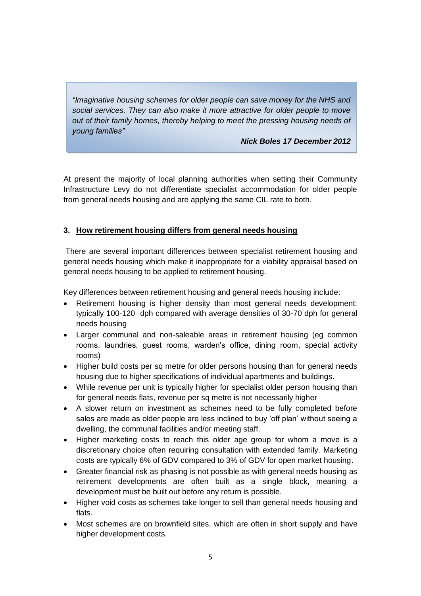*"Imaginative housing schemes for older people can save money for the NHS and social services. They can also make it more attractive for older people to move out of their family homes, thereby helping to meet the pressing housing needs of young families"* 

*Nick Boles 17 December 2012*

At present the majority of local planning authorities when setting their Community Infrastructure Levy do not differentiate specialist accommodation for older people from general needs housing and are applying the same CIL rate to both.

#### **3. How retirement housing differs from general needs housing**

There are several important differences between specialist retirement housing and general needs housing which make it inappropriate for a viability appraisal based on general needs housing to be applied to retirement housing.

Key differences between retirement housing and general needs housing include:

- Retirement housing is higher density than most general needs development: typically 100-120 dph compared with average densities of 30-70 dph for general needs housing
- Larger communal and non-saleable areas in retirement housing (eg common rooms, laundries, guest rooms, warden's office, dining room, special activity rooms)
- Higher build costs per sq metre for older persons housing than for general needs housing due to higher specifications of individual apartments and buildings.
- While revenue per unit is typically higher for specialist older person housing than for general needs flats, revenue per sq metre is not necessarily higher
- A slower return on investment as schemes need to be fully completed before sales are made as older people are less inclined to buy 'off plan' without seeing a dwelling, the communal facilities and/or meeting staff.
- Higher marketing costs to reach this older age group for whom a move is a discretionary choice often requiring consultation with extended family. Marketing costs are typically 6% of GDV compared to 3% of GDV for open market housing.
- Greater financial risk as phasing is not possible as with general needs housing as retirement developments are often built as a single block, meaning a development must be built out before any return is possible.
- Higher void costs as schemes take longer to sell than general needs housing and flats.
- Most schemes are on brownfield sites, which are often in short supply and have higher development costs.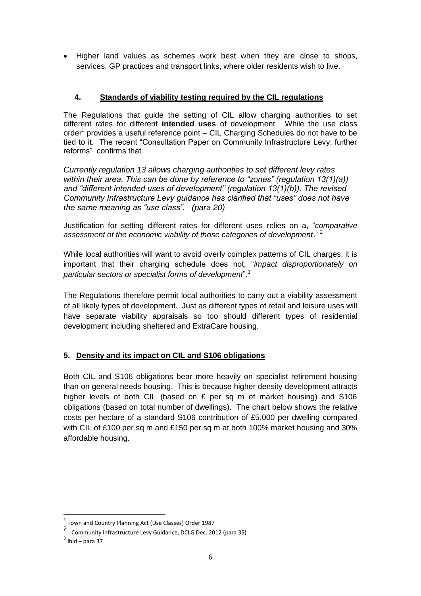Higher land values as schemes work best when they are close to shops, services, GP practices and transport links, where older residents wish to live.

## **4. Standards of viability testing required by the CIL regulations**

The Regulations that guide the setting of CIL allow charging authorities to set different rates for different **intended uses** of development. While the use class order<sup>1</sup> provides a useful reference point – CIL Charging Schedules do not have to be tied to it. The recent "Consultation Paper on Community Infrastructure Levy: further reforms" confirms that

*Currently regulation 13 allows charging authorities to set different levy rates within their area. This can be done by reference to "zones" (regulation 13(1)(a)) and "different intended uses of development" (regulation 13(1)(b)). The revised Community Infrastructure Levy guidance has clarified that "uses" does not have the same meaning as "use class". (para 20)*

Justification for setting different rates for different uses relies on a, "*comparative assessment of the economic viability of those categories of development*." <sup>2</sup>

While local authorities will want to avoid overly complex patterns of CIL charges, it is important that their charging schedule does not, "*impact disproportionately on particular sectors or specialist forms of development*". 3

The Regulations therefore permit local authorities to carry out a viability assessment of all likely types of development. Just as different types of retail and leisure uses will have separate viability appraisals so too should different types of residential development including sheltered and ExtraCare housing.

### **5. Density and its impact on CIL and S106 obligations**

Both CIL and S106 obligations bear more heavily on specialist retirement housing than on general needs housing. This is because higher density development attracts higher levels of both CIL (based on  $E$  per sq m of market housing) and S106 obligations (based on total number of dwellings). The chart below shows the relative costs per hectare of a standard S106 contribution of £5,000 per dwelling compared with CIL of £100 per sq m and £150 per sq m at both 100% market housing and 30% affordable housing.

 $\overline{a}$ 

 $^1$  Town and Country Planning Act (Use Classes) Order 1987

<sup>2</sup> Community Infrastructure Levy Guidance, DCLG Dec. 2012 (para 35)

 $3$  Ibid – para 37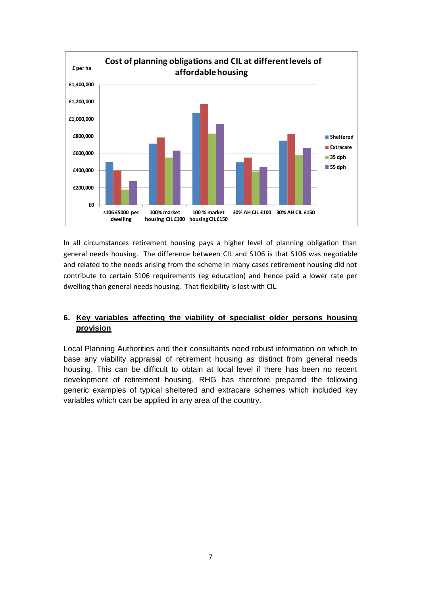

In all circumstances retirement housing pays a higher level of planning obligation than general needs housing. The difference between CIL and S106 is that S106 was negotiable and related to the needs arising from the scheme in many cases retirement housing did not contribute to certain S106 requirements (eg education) and hence paid a lower rate per dwelling than general needs housing. That flexibility is lost with CIL.

## **6. Key variables affecting the viability of specialist older persons housing provision**

Local Planning Authorities and their consultants need robust information on which to base any viability appraisal of retirement housing as distinct from general needs housing. This can be difficult to obtain at local level if there has been no recent development of retirement housing. RHG has therefore prepared the following generic examples of typical sheltered and extracare schemes which included key variables which can be applied in any area of the country.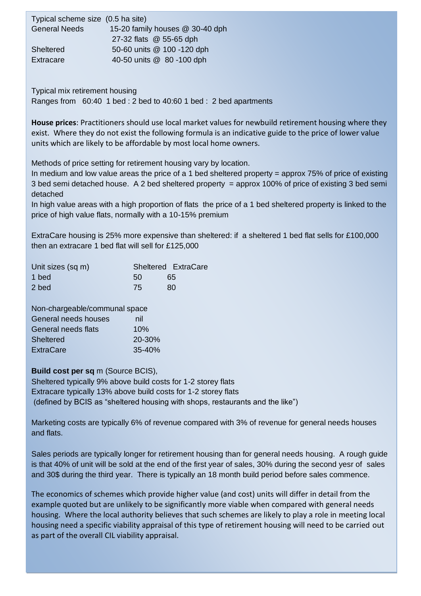| Typical scheme size (0.5 ha site) |                                 |
|-----------------------------------|---------------------------------|
| <b>General Needs</b>              | 15-20 family houses @ 30-40 dph |
|                                   | 27-32 flats @ 55-65 dph         |
| Sheltered                         | 50-60 units @ 100 -120 dph      |
| Extracare                         | 40-50 units @ 80 -100 dph       |

the country including both profit and not for profit organisations. Data relates to a profit organisation organisations. Data relates to a profit organisations. Data relates to a profit organisations of the country of the standard people in 2 and 4 and 4 bed in 3 and 4 bed family housing in 3 and 4 bed in 3 and 4 bed in 4 and 4 bed to 40:60 1 bed : 2 bed to 40:60 1 bed : 2 bed to 40:60 1 bed : 2 bed apartments

**House prices**: Practitioners should use local market values for newbuild retirement housing where they exist. Where they do not exist the following formula is an indicative guide to the price of lower value units which are likely to be affordable by most local home owners.

Methods of price setting for retirement housing vary by location.

In medium and low value areas the price of a 1 bed sheltered property = approx 75% of price of existing 3 bed semi detached house. A 2 bed sheltered property = approx 100% of price of existing 3 bed semi detached

In high value areas with a high proportion of flats the price of a 1 bed sheltered property is linked to the price of high value flats, normally with a 10-15% premium

ExtraCare housing is 25% more expensive than sheltered: if a sheltered 1 bed flat sells for £100,000 then an extracare 1 bed flat will sell for £125,000

| Unit sizes (sq m) |    | Sheltered ExtraCare |
|-------------------|----|---------------------|
| 1 bed             | 50 | 65                  |
| 2 bed             | 75 | 80                  |

| Non-chargeable/communal space |            |  |  |  |
|-------------------------------|------------|--|--|--|
| General needs houses          | nil        |  |  |  |
| General needs flats           | 10%        |  |  |  |
| <b>Sheltered</b>              | 20-30%     |  |  |  |
| <b>ExtraCare</b>              | $35 - 40%$ |  |  |  |

**Build cost per sq** m (Source BCIS),

Sheltered typically 9% above build costs for 1-2 storey flats Extracare typically 13% above build costs for 1-2 storey flats (defined by BCIS as "sheltered housing with shops, restaurants and the like")

Marketing costs are typically 6% of revenue compared with 3% of revenue for general needs houses and flats.

Sales periods are typically longer for retirement housing than for general needs housing. A rough guide is that 40% of unit will be sold at the end of the first year of sales, 30% during the second yesr of sales and 30\$ during the third year. There is typically an 18 month build period before sales commence.

**Impact of CIL on scheme viability**  housing need a specific viability appraisal of this type of retirement housing will need to be carried out The economics of schemes which provide higher value (and cost) units will differ in detail from the example quoted but are unlikely to be significantly more viable when compared with general needs housing. Where the local authority believes that such schemes are likely to play a role in meeting local as part of the overall CIL viability appraisal.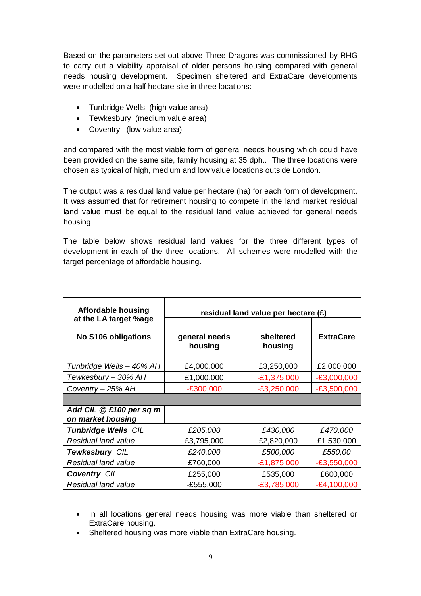Based on the parameters set out above Three Dragons was commissioned by RHG to carry out a viability appraisal of older persons housing compared with general needs housing development. Specimen sheltered and ExtraCare developments were modelled on a half hectare site in three locations:

- Tunbridge Wells (high value area)
- Tewkesbury (medium value area)
- Coventry (low value area)

and compared with the most viable form of general needs housing which could have been provided on the same site, family housing at 35 dph.. The three locations were chosen as typical of high, medium and low value locations outside London.

The output was a residual land value per hectare (ha) for each form of development. It was assumed that for retirement housing to compete in the land market residual land value must be equal to the residual land value achieved for general needs housing

The table below shows residual land values for the three different types of development in each of the three locations. All schemes were modelled with the target percentage of affordable housing.

| <b>Affordable housing</b>                    | residual land value per hectare $(E)$ |                      |                  |  |
|----------------------------------------------|---------------------------------------|----------------------|------------------|--|
| at the LA target %age                        |                                       |                      |                  |  |
| No S106 obligations                          | general needs<br>housing              | sheltered<br>housing | <b>ExtraCare</b> |  |
| Tunbridge Wells - 40% AH                     | £4,000,000                            | £3,250,000           | £2,000,000       |  |
| Tewkesbury - 30% AH                          | £1,000,000                            | $-E1,375,000$        | $-E3,000,000$    |  |
| Coventry - 25% AH                            | $-E300,000$                           | $-E3,250,000$        | $-E3,500,000$    |  |
|                                              |                                       |                      |                  |  |
| Add CIL @ £100 per sq m<br>on market housing |                                       |                      |                  |  |
| <b>Tunbridge Wells CIL</b>                   | £205,000                              | £430,000             | £470,000         |  |
| Residual land value                          | £3,795,000                            | £2,820,000           | £1,530,000       |  |
| <b>Tewkesbury CIL</b>                        | £240,000                              | £500,000             | £550,00          |  |
| Residual land value                          | £760,000                              | $-E1,875,000$        | $-E3,550,000$    |  |
| <b>Coventry CIL</b>                          | £255,000                              | £535,000             | £600,000         |  |
| Residual land value                          | $-E555,000$                           | $-£3,785,000$        | $-E4,100,000$    |  |

- In all locations general needs housing was more viable than sheltered or ExtraCare housing.
- Sheltered housing was more viable than ExtraCare housing.